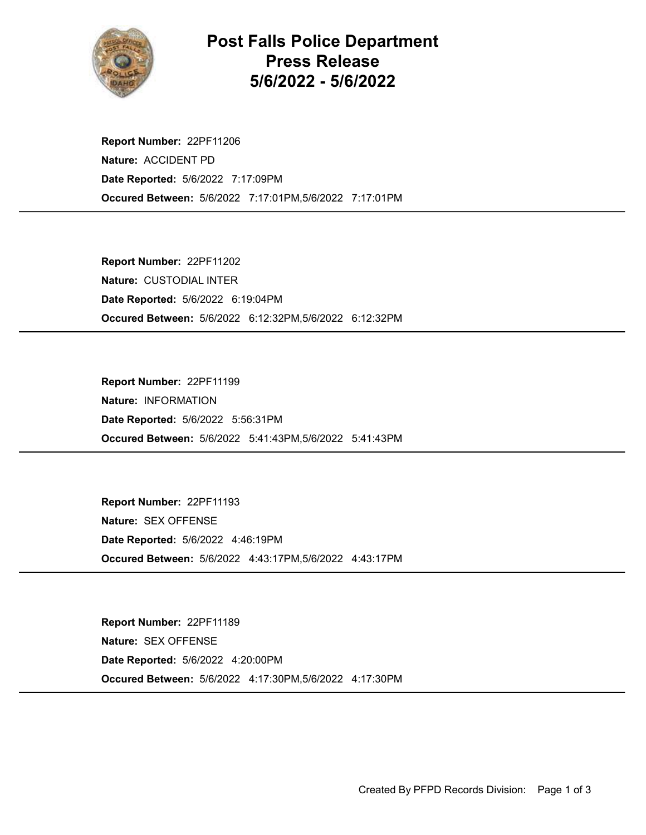

## Post Falls Police Department Press Release 5/6/2022 - 5/6/2022

Occured Between: 5/6/2022 7:17:01PM,5/6/2022 7:17:01PM Report Number: 22PF11206 Nature: ACCIDENT PD Date Reported: 5/6/2022 7:17:09PM

Occured Between: 5/6/2022 6:12:32PM,5/6/2022 6:12:32PM Report Number: 22PF11202 Nature: CUSTODIAL INTER Date Reported: 5/6/2022 6:19:04PM

Occured Between: 5/6/2022 5:41:43PM,5/6/2022 5:41:43PM Report Number: 22PF11199 Nature: INFORMATION Date Reported: 5/6/2022 5:56:31PM

Occured Between: 5/6/2022 4:43:17PM,5/6/2022 4:43:17PM Report Number: 22PF11193 Nature: SEX OFFENSE Date Reported: 5/6/2022 4:46:19PM

Occured Between: 5/6/2022 4:17:30PM,5/6/2022 4:17:30PM Report Number: 22PF11189 Nature: SEX OFFENSE Date Reported: 5/6/2022 4:20:00PM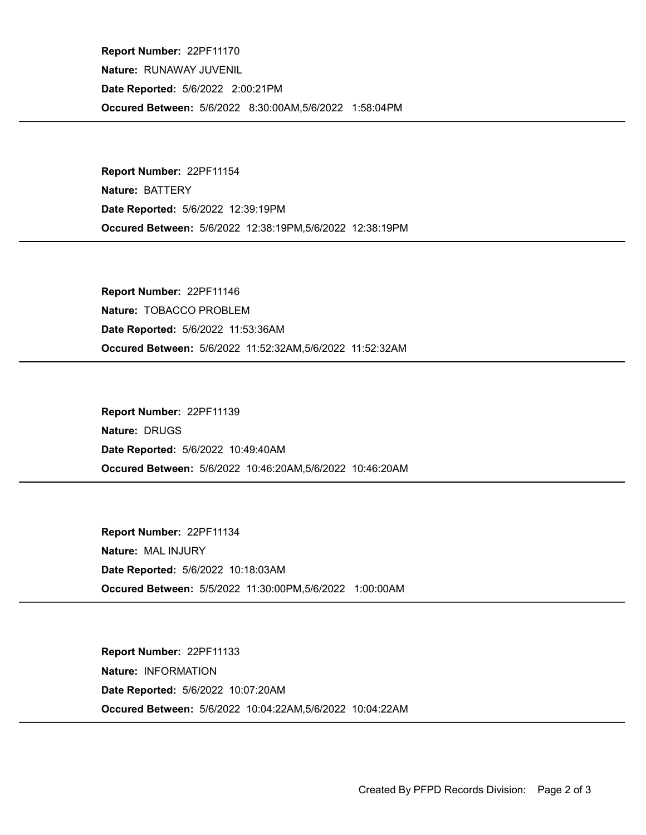Occured Between: 5/6/2022 8:30:00AM,5/6/2022 1:58:04PM Report Number: 22PF11170 Nature: RUNAWAY JUVENIL Date Reported: 5/6/2022 2:00:21PM

Occured Between: 5/6/2022 12:38:19PM,5/6/2022 12:38:19PM Report Number: 22PF11154 Nature: BATTERY Date Reported: 5/6/2022 12:39:19PM

Occured Between: 5/6/2022 11:52:32AM,5/6/2022 11:52:32AM Report Number: 22PF11146 Nature: TOBACCO PROBLEM Date Reported: 5/6/2022 11:53:36AM

Occured Between: 5/6/2022 10:46:20AM,5/6/2022 10:46:20AM Report Number: 22PF11139 Nature: DRUGS Date Reported: 5/6/2022 10:49:40AM

Occured Between: 5/5/2022 11:30:00PM,5/6/2022 1:00:00AM Report Number: 22PF11134 Nature: MAL INJURY Date Reported: 5/6/2022 10:18:03AM

Occured Between: 5/6/2022 10:04:22AM,5/6/2022 10:04:22AM Report Number: 22PF11133 Nature: INFORMATION Date Reported: 5/6/2022 10:07:20AM